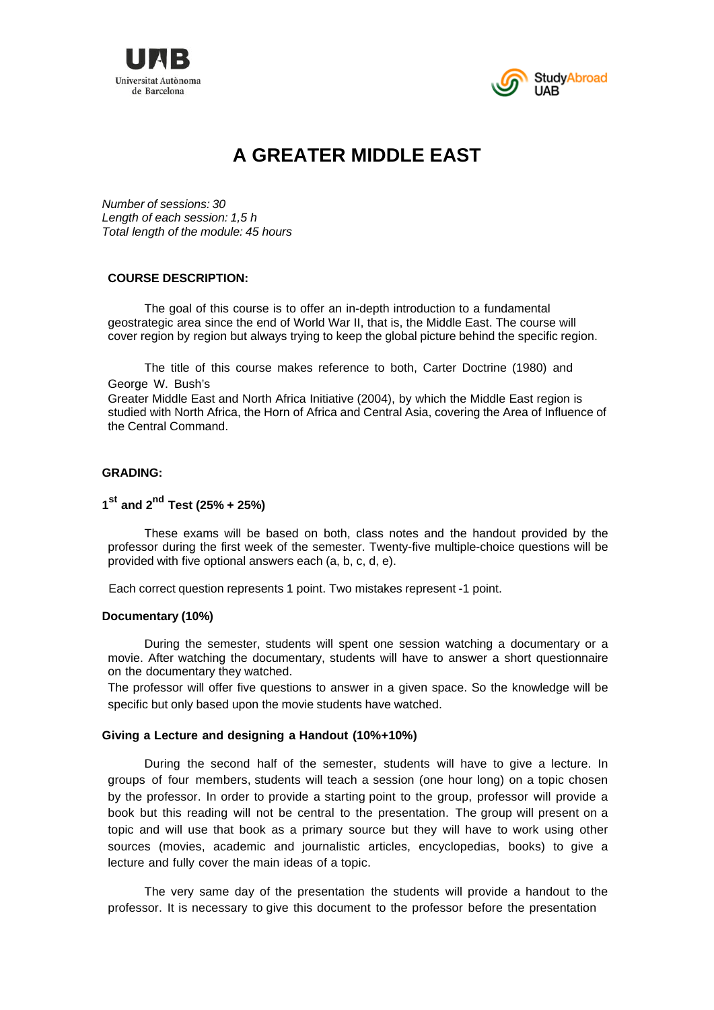



# **A GREATER MIDDLE EAST**

*Number of sessions: 30 Length of each session: 1,5 h Total length of the module: 45 hours* 

## **COURSE DESCRIPTION:**

The goal of this course is to offer an in-depth introduction to a fundamental geostrategic area since the end of World War II, that is, the Middle East. The course will cover region by region but always trying to keep the global picture behind the specific region.

The title of this course makes reference to both, Carter Doctrine (1980) and George W. Bush's

Greater Middle East and North Africa Initiative (2004), by which the Middle East region is studied with North Africa, the Horn of Africa and Central Asia, covering the Area of Influence of the Central Command.

#### **GRADING:**

# **1st and 2nd Test (25% + 25%)**

These exams will be based on both, class notes and the handout provided by the professor during the first week of the semester. Twenty-five multiple-choice questions will be provided with five optional answers each (a, b, c, d, e).

Each correct question represents 1 point. Two mistakes represent -1 point.

#### **Documentary (10%)**

During the semester, students will spent one session watching a documentary or a movie. After watching the documentary, students will have to answer a short questionnaire on the documentary they watched.

The professor will offer five questions to answer in a given space. So the knowledge will be specific but only based upon the movie students have watched.

#### **Giving a Lecture and designing a Handout (10%+10%)**

During the second half of the semester, students will have to give a lecture. In groups of four members, students will teach a session (one hour long) on a topic chosen by the professor. In order to provide a starting point to the group, professor will provide a book but this reading will not be central to the presentation. The group will present on a topic and will use that book as a primary source but they will have to work using other sources (movies, academic and journalistic articles, encyclopedias, books) to give a lecture and fully cover the main ideas of a topic.

The very same day of the presentation the students will provide a handout to the professor. It is necessary to give this document to the professor before the presentation